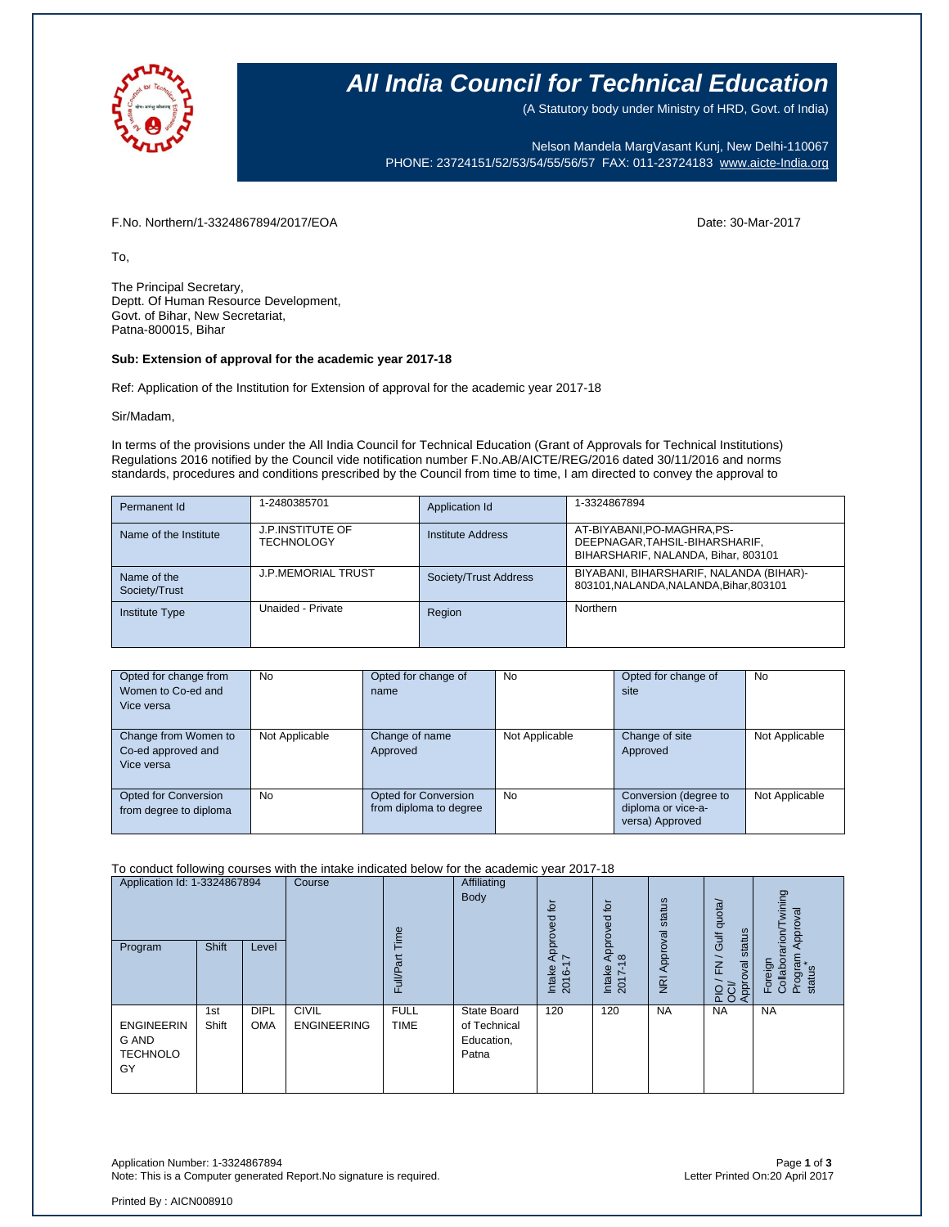

### **All India Council for Technical Education**

(A Statutory body under Ministry of HRD, Govt. of India)

Nelson Mandela MargVasant Kunj, New Delhi-110067 PHONE: 23724151/52/53/54/55/56/57 FAX: 011-23724183 [www.aicte-India.org](http://www.aicte-india.org/)

F.No. Northern/1-3324867894/2017/EOA Date: 30-Mar-2017

To,

The Principal Secretary, Deptt. Of Human Resource Development, Govt. of Bihar, New Secretariat, Patna-800015, Bihar

#### **Sub: Extension of approval for the academic year 2017-18**

Ref: Application of the Institution for Extension of approval for the academic year 2017-18

Sir/Madam,

In terms of the provisions under the All India Council for Technical Education (Grant of Approvals for Technical Institutions) Regulations 2016 notified by the Council vide notification number F.No.AB/AICTE/REG/2016 dated 30/11/2016 and norms standards, procedures and conditions prescribed by the Council from time to time, I am directed to convey the approval to

| Permanent Id                 | 1-2480385701                          | Application Id        | 1-3324867894                                                                                         |
|------------------------------|---------------------------------------|-----------------------|------------------------------------------------------------------------------------------------------|
| Name of the Institute        | <b>J.P.INSTITUTE OF</b><br>TECHNOLOGY | Institute Address     | AT-BIYABANI, PO-MAGHRA, PS-<br>DEEPNAGAR, TAHSIL-BIHARSHARIF,<br>BIHARSHARIF, NALANDA, Bihar, 803101 |
| Name of the<br>Society/Trust | <b>J.P.MEMORIAL TRUST</b>             | Society/Trust Address | BIYABANI, BIHARSHARIF, NALANDA (BIHAR)-<br>803101, NALANDA, NALANDA, Bihar, 803101                   |
| <b>Institute Type</b>        | Unaided - Private                     | Region                | Northern                                                                                             |

| Opted for change from<br>Women to Co-ed and<br>Vice versa | <b>No</b>      | Opted for change of<br>name                           | <b>No</b>      | Opted for change of<br>site                                    | No             |
|-----------------------------------------------------------|----------------|-------------------------------------------------------|----------------|----------------------------------------------------------------|----------------|
| Change from Women to<br>Co-ed approved and<br>Vice versa  | Not Applicable | Change of name<br>Approved                            | Not Applicable | Change of site<br>Approved                                     | Not Applicable |
| <b>Opted for Conversion</b><br>from degree to diploma     | No.            | <b>Opted for Conversion</b><br>from diploma to degree | <b>No</b>      | Conversion (degree to<br>diploma or vice-a-<br>versa) Approved | Not Applicable |

To conduct following courses with the intake indicated below for the academic year 2017-18

| Application Id: 1-3324867894<br>Program             | <b>Shift</b> | Level                     | Course                             | Time<br>Full/Part          | Affiliating<br>Body                                | $\overline{p}$<br>ರ<br>Appro <sup>.</sup><br>7<br>Intake<br>2016- | ₫<br>ರ<br>$\Phi$<br>ō<br>ō<br>$\Omega$<br>$\infty$<br>Intake<br>2017 | Approval status<br>$\overline{R}$ | dnota<br>status<br><b>Jif</b><br>$\overline{\phantom{0}}$<br>$\overline{E}$<br>Approval<br><b>PIO</b> | wining<br>Approval<br>Thorie <sup>-</sup><br>Program<br>Foreign<br>Collabor<br>status |
|-----------------------------------------------------|--------------|---------------------------|------------------------------------|----------------------------|----------------------------------------------------|-------------------------------------------------------------------|----------------------------------------------------------------------|-----------------------------------|-------------------------------------------------------------------------------------------------------|---------------------------------------------------------------------------------------|
| <b>ENGINEERIN</b><br>G AND<br><b>TECHNOLO</b><br>GY | 1st<br>Shift | <b>DIPL</b><br><b>OMA</b> | <b>CIVIL</b><br><b>ENGINEERING</b> | <b>FULL</b><br><b>TIME</b> | State Board<br>of Technical<br>Education,<br>Patna | 120                                                               | 120                                                                  | <b>NA</b>                         | <b>NA</b>                                                                                             | <b>NA</b>                                                                             |

Application Number: 1-3324867894 Page **1** of **3** Note: This is a Computer generated Report.No signature is required.

Printed By : AICN008910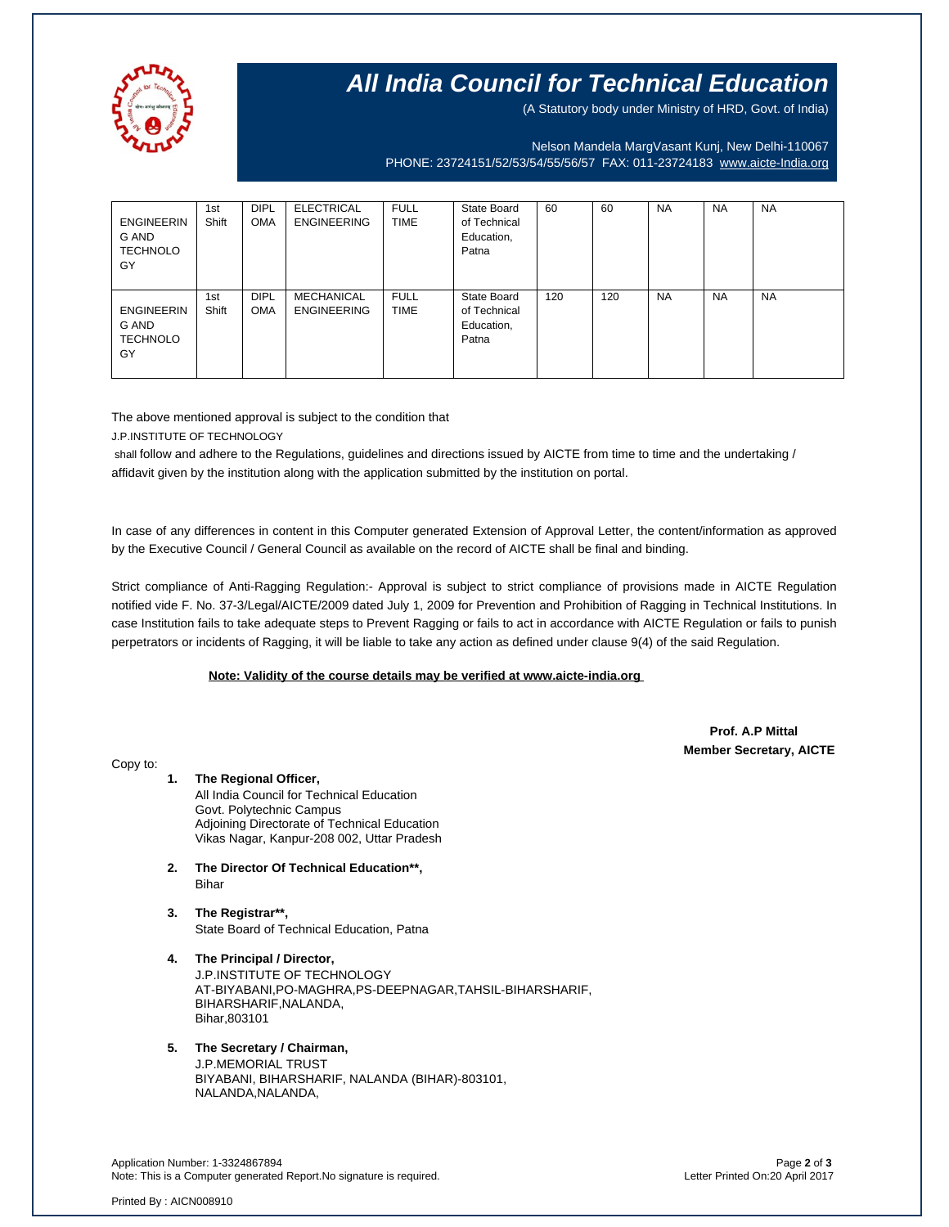

## **All India Council for Technical Education**

(A Statutory body under Ministry of HRD, Govt. of India)

Nelson Mandela MargVasant Kunj, New Delhi-110067 PHONE: 23724151/52/53/54/55/56/57 FAX: 011-23724183 [www.aicte-India.org](http://www.aicte-india.org/)

| <b>ENGINEERIN</b><br>G AND<br><b>TECHNOLO</b><br>GY | 1st<br>Shift | <b>DIPL</b><br><b>OMA</b> | <b>ELECTRICAL</b><br><b>ENGINEERING</b> | <b>FULL</b><br><b>TIME</b> | State Board<br>of Technical<br>Education,<br>Patna | 60  | 60  | <b>NA</b> | <b>NA</b> | <b>NA</b> |
|-----------------------------------------------------|--------------|---------------------------|-----------------------------------------|----------------------------|----------------------------------------------------|-----|-----|-----------|-----------|-----------|
| <b>ENGINEERIN</b><br>G AND<br><b>TECHNOLO</b><br>GY | 1st<br>Shift | <b>DIPL</b><br><b>OMA</b> | <b>MECHANICAL</b><br><b>ENGINEERING</b> | <b>FULL</b><br><b>TIME</b> | State Board<br>of Technical<br>Education,<br>Patna | 120 | 120 | <b>NA</b> | <b>NA</b> | <b>NA</b> |

The above mentioned approval is subject to the condition that

J.P.INSTITUTE OF TECHNOLOGY

shall follow and adhere to the Regulations, guidelines and directions issued by AICTE from time to time and the undertaking / affidavit given by the institution along with the application submitted by the institution on portal.

In case of any differences in content in this Computer generated Extension of Approval Letter, the content/information as approved by the Executive Council / General Council as available on the record of AICTE shall be final and binding.

Strict compliance of Anti-Ragging Regulation:- Approval is subject to strict compliance of provisions made in AICTE Regulation notified vide F. No. 37-3/Legal/AICTE/2009 dated July 1, 2009 for Prevention and Prohibition of Ragging in Technical Institutions. In case Institution fails to take adequate steps to Prevent Ragging or fails to act in accordance with AICTE Regulation or fails to punish perpetrators or incidents of Ragging, it will be liable to take any action as defined under clause 9(4) of the said Regulation.

### **Note: Validity of the course details may be verified at www.aicte-india.org**

 **Prof. A.P Mittal Member Secretary, AICTE**

Copy to:

**1. The Regional Officer,** All India Council for Technical Education Govt. Polytechnic Campus Adjoining Directorate of Technical Education

Vikas Nagar, Kanpur-208 002, Uttar Pradesh

- **2. The Director Of Technical Education\*\*,** Bihar
- **3. The Registrar\*\*,** State Board of Technical Education, Patna
- **4. The Principal / Director,** J.P.INSTITUTE OF TECHNOLOGY AT-BIYABANI,PO-MAGHRA,PS-DEEPNAGAR,TAHSIL-BIHARSHARIF, BIHARSHARIF,NALANDA, Bihar,803101
- **5. The Secretary / Chairman,** J.P.MEMORIAL TRUST BIYABANI, BIHARSHARIF, NALANDA (BIHAR)-803101, NALANDA, NALANDA,